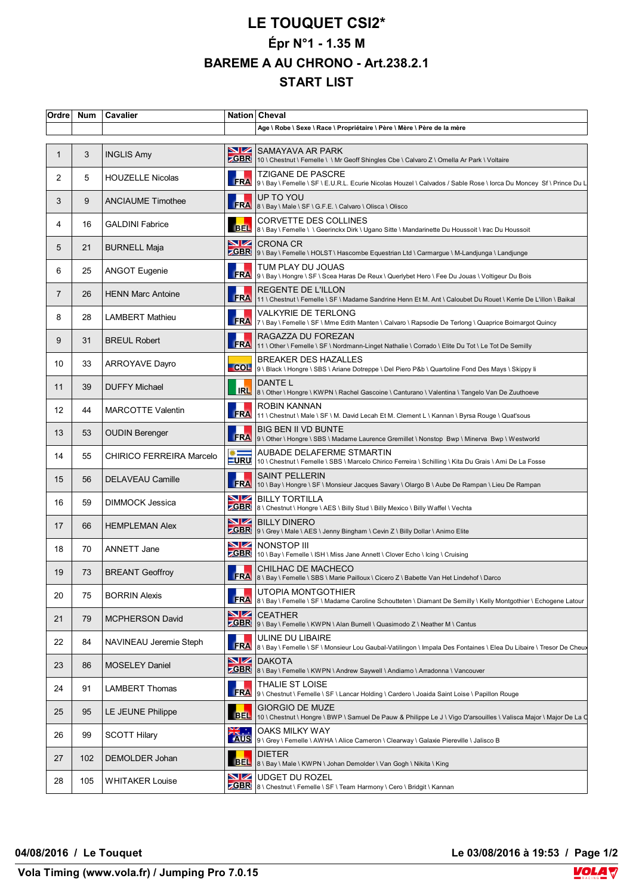## **LE TOUQUET CSI2\* Épr N°1 - 1.35 M BAREME A AU CHRONO - Art.238.2.1 START LIST**

| Ordre          | <b>Num</b> | Cavalier                 |                              | Nation Cheval                                                                                                                                                                                                                                                      |
|----------------|------------|--------------------------|------------------------------|--------------------------------------------------------------------------------------------------------------------------------------------------------------------------------------------------------------------------------------------------------------------|
|                |            |                          |                              | Age \ Robe \ Sexe \ Race \ Propriétaire \ Père \ Mère \ Père de la mère                                                                                                                                                                                            |
| $\mathbf{1}$   | 3          | <b>INGLIS Amy</b>        | <b>NZ</b>                    | SAMAYAVA AR PARK<br>ZGBR 10 \ Chestnut \ Femelle \ \ Mr Geoff Shingles Cbe \ Calvaro Z \ Ornella Ar Park \ Voltaire                                                                                                                                                |
| 2              | 5          | <b>HOUZELLE Nicolas</b>  | <b>FRA</b>                   | <b>TZIGANE DE PASCRE</b><br>9 \ Bay \ Femelle \ SF \ E.U.R.L. Ecurie Nicolas Houzel \ Calvados / Sable Rose \ lorca Du Moncey Sf \ Prince Du L                                                                                                                     |
| 3              | 9          | <b>ANCIAUME Timothee</b> | <b>FRA</b>                   | UP TO YOU<br>8 \ Bay \ Male \ SF \ G.F.E. \ Calvaro \ Olisca \ Olisco                                                                                                                                                                                              |
| 4              | 16         | <b>GALDINI Fabrice</b>   | BEL.                         | <b>CORVETTE DES COLLINES</b><br>8 \ Bay \ Femelle \ \ Geerinckx Dirk \ Ugano Sitte \ Mandarinette Du Houssoit \ Irac Du Houssoit                                                                                                                                   |
| 5              | 21         | <b>BURNELL Maja</b>      | <b>NZ</b>                    | <b>CRONA CR</b><br>SGBR 9 \ Bay \ Femelle \ HOLST \ Hascombe Equestrian Ltd \ Carmargue \ M-Landjunga \ Landjunge                                                                                                                                                  |
| 6              | 25         | <b>ANGOT Eugenie</b>     |                              | TUM PLAY DU JOUAS<br>FRA 9\Bay\Hongre \ SF \ Scea Haras De Reux\Querlybet Hero \ Fee Du Jouas \ Voltigeur Du Bois                                                                                                                                                  |
| $\overline{7}$ | 26         | <b>HENN Marc Antoine</b> | FRA                          | REGENTE DE L'ILLON<br>11 \ Chestnut \ Femelle \ SF \ Madame Sandrine Henn Et M. Ant \ Caloubet Du Rouet \ Kerrie De L'illon \ Baikal                                                                                                                               |
| 8              | 28         | <b>LAMBERT Mathieu</b>   |                              | <b>VALKYRIE DE TERLONG</b><br>  <br>  FRA    7 \ Bay \ Femelle \ SF \ Mme Edith Manten \ Calvaro \ Rapsodie De Terlong \ Quaprice Boimargot Quincy<br>  FRA    7 \ Bay \ Femelle \ SF \ Mme Edith Manten \ Calvaro \ Rapsodie De Terlong \ Quaprice Boimargot Quin |
| 9              | 31         | <b>BREUL Robert</b>      | <b>FRA</b>                   | RAGAZZA DU FOREZAN<br>11 \ Other \ Femelle \ SF \ Nordmann-Linget Nathalie \ Corrado \ Elite Du Tot \ Le Tot De Semilly                                                                                                                                            |
| 10             | 33         | <b>ARROYAVE Dayro</b>    | COL                          | <b>BREAKER DES HAZALLES</b><br>9 \ Black \ Hongre \ SBS \ Ariane Dotreppe \ Del Piero P&b \ Quartoline Fond Des Mays \ Skippy li                                                                                                                                   |
| 11             | 39         | <b>DUFFY Michael</b>     | <b>IRL</b>                   | DANTE L<br>8 \ Other \ Hongre \ KWPN \ Rachel Gascoine \ Canturano \ Valentina \ Tangelo Van De Zuuthoeve                                                                                                                                                          |
| 12             | 44         | <b>MARCOTTE Valentin</b> | <b>FRA</b>                   | ROBIN KANNAN<br>11 \ Chestnut \ Male \ SF \ M. David Lecah Et M. Clement L \ Kannan \ Byrsa Rouge \ Quat'sous                                                                                                                                                      |
| 13             | 53         | <b>OUDIN Berenger</b>    | <b>FRA</b>                   | BIG BEN II VD BUNTE<br> 9 \ Other \ Hongre \ SBS \ Madame Laurence Gremillet \ Nonstop Bwp \ Minerva Bwp \ Westworld                                                                                                                                               |
| 14             | 55         | CHIRICO FERREIRA Marcelo | $\frac{1}{2}$<br><b>LURU</b> | AUBADE DELAFERME STMARTIN<br>10 \ Chestnut \ Femelle \ SBS \ Marcelo Chirico Ferreira \ Schilling \ Kita Du Grais \ Ami De La Fosse                                                                                                                                |
| 15             | 56         | <b>DELAVEAU Camille</b>  | <b>FRA</b>                   | <b>SAINT PELLERIN</b><br> 10 \ Bay \ Hongre \ SF \ Monsieur Jacques Savary \ Olargo B \ Aube De Rampan \ Lieu De Rampan                                                                                                                                            |
| 16             | 59         | <b>DIMMOCK Jessica</b>   | <u>NZ</u>                    | <b>BILLY TORTILLA</b><br>ZGBR 8\ Chestnut \ Hongre \ AES \ Billy Stud \ Billy Mexico \ Billy Waffel \ Vechta                                                                                                                                                       |
| 17             | 66         | <b>HEMPLEMAN Alex</b>    | VZ                           | <b>BILLY DINERO</b><br>ZGBR   9 \ Grey \ Male \ AES \ Jenny Bingham \ Cevin Z \ Billy Dollar \ Animo Elite                                                                                                                                                         |
| 18             | 70         | ANNETT Jane              | N⊭                           | NONSTOP III<br>ZGBR 10 \ Bay \ Femelle \ ISH \ Miss Jane Annett \ Clover Echo \ lcing \ Cruising                                                                                                                                                                   |
| 19             | 73         | <b>BREANT Geoffroy</b>   |                              | CHILHAC DE MACHECO<br>FRA 8 \ Bay \ Femelle \ SBS \ Marie Pailloux \ Cicero Z \ Babette Van Het Lindehof \ Darco                                                                                                                                                   |
| 20             | 75         | <b>BORRIN Alexis</b>     | <b>FRA</b>                   | UTOPIA MONTGOTHIER<br>8 \ Bay \ Femelle \ SF \ Madame Caroline Schoutteten \ Diamant De Semilly \ Kelly Montgothier \ Echogene Latour                                                                                                                              |
| 21             | 79         | <b>MCPHERSON David</b>   | VZ                           | <b>CEATHER</b><br>ZGBR 9 \ Bay \ Femelle \ KWPN \ Alan Burnell \ Quasimodo Z \ Neather M \ Cantus                                                                                                                                                                  |
| 22             | 84         | NAVINEAU Jeremie Steph   | <b>FRA</b>                   | ULINE DU LIBAIRE<br>8 \ Bay \ Femelle \ SF \ Monsieur Lou Gaubal-Vatilingon \ Impala Des Fontaines \ Elea Du Libaire \ Tresor De Cheux                                                                                                                             |
| 23             | 86         | <b>MOSELEY Daniel</b>    | NZ<br><b>GBR</b>             | DAKOTA<br>8 \ Bay \ Femelle \ KWPN \ Andrew Saywell \ Andiamo \ Arradonna \ Vancouver                                                                                                                                                                              |
| 24             | 91         | <b>LAMBERT Thomas</b>    | <b>FRA</b>                   | THALIE ST LOISE<br>9 \ Chestnut \ Femelle \ SF \ Lancar Holding \ Cardero \ Joaida Saint Loise \ Papillon Rouge                                                                                                                                                    |
| 25             | 95         | <b>LE JEUNE Philippe</b> | <b>BEL</b>                   | <b>GIORGIO DE MUZE</b><br>  10 \ Chestnut \ Hongre \ BWP \ Samuel De Pauw & Philippe Le J \ Vigo D'arsouilles \ Valisca Major \ Major De La C                                                                                                                      |
| 26             | 99         | <b>SCOTT Hilary</b>      | ≫⊯∴<br><b>AUS</b>            | OAKS MILKY WAY<br>9 \ Grey \ Femelle \ AWHA \ Alice Cameron \ Clearway \ Galaxie Piereville \ Jalisco B                                                                                                                                                            |
| 27             | 102        | DEMOLDER Johan           | <b>BEL</b>                   | <b>DIETER</b><br>8 \ Bay \ Male \ KWPN \ Johan Demolder \ Van Gogh \ Nikita \ King                                                                                                                                                                                 |
| 28             | 105        | <b>WHITAKER Louise</b>   | NZ<br><b>ZGBR</b>            | UDGET DU ROZEL<br>8 \ Chestnut \ Femelle \ SF \ Team Harmony \ Cero \ Bridgit \ Kannan                                                                                                                                                                             |